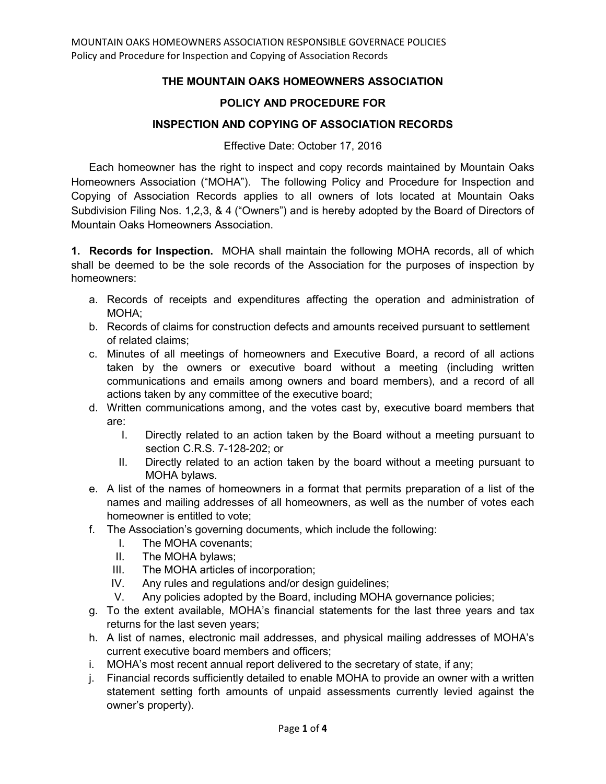## **THE MOUNTAIN OAKS HOMEOWNERS ASSOCIATION**

## **POLICY AND PROCEDURE FOR**

## **INSPECTION AND COPYING OF ASSOCIATION RECORDS**

Effective Date: October 17, 2016

Each homeowner has the right to inspect and copy records maintained by Mountain Oaks Homeowners Association ("MOHA"). The following Policy and Procedure for Inspection and Copying of Association Records applies to all owners of lots located at Mountain Oaks Subdivision Filing Nos. 1,2,3, & 4 ("Owners") and is hereby adopted by the Board of Directors of Mountain Oaks Homeowners Association.

**1. Records for Inspection.** MOHA shall maintain the following MOHA records, all of which shall be deemed to be the sole records of the Association for the purposes of inspection by homeowners:

- a. Records of receipts and expenditures affecting the operation and administration of MOHA;
- b. Records of claims for construction defects and amounts received pursuant to settlement of related claims;
- c. Minutes of all meetings of homeowners and Executive Board, a record of all actions taken by the owners or executive board without a meeting (including written communications and emails among owners and board members), and a record of all actions taken by any committee of the executive board;
- d. Written communications among, and the votes cast by, executive board members that are:
	- I. Directly related to an action taken by the Board without a meeting pursuant to section C.R.S. 7-128-202; or
	- II. Directly related to an action taken by the board without a meeting pursuant to MOHA bylaws.
- e. A list of the names of homeowners in a format that permits preparation of a list of the names and mailing addresses of all homeowners, as well as the number of votes each homeowner is entitled to vote;
- f. The Association's governing documents, which include the following:
	- I. The MOHA covenants;
	- II. The MOHA bylaws;
	- III. The MOHA articles of incorporation;
	- IV. Any rules and regulations and/or design guidelines;
	- V. Any policies adopted by the Board, including MOHA governance policies;
- g. To the extent available, MOHA's financial statements for the last three years and tax returns for the last seven years;
- h. A list of names, electronic mail addresses, and physical mailing addresses of MOHA's current executive board members and officers;
- i. MOHA's most recent annual report delivered to the secretary of state, if any;
- j. Financial records sufficiently detailed to enable MOHA to provide an owner with a written statement setting forth amounts of unpaid assessments currently levied against the owner's property).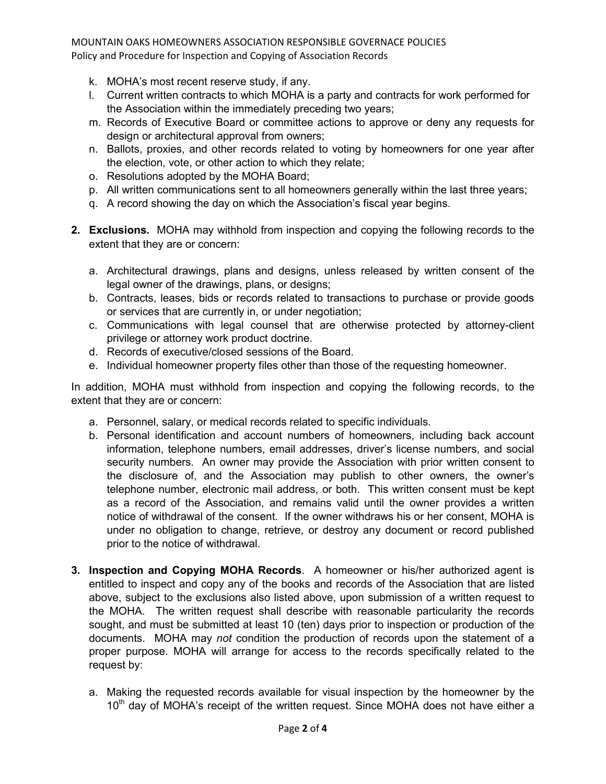- k. MOHA's most recent reserve study, if any.
- l. Current written contracts to which MOHA is a party and contracts for work performed for the Association within the immediately preceding two years;
- m. Records of Executive Board or committee actions to approve or deny any requests for design or architectural approval from owners;
- n. Ballots, proxies, and other records related to voting by homeowners for one year after the election, vote, or other action to which they relate;
- o. Resolutions adopted by the MOHA Board;
- p. All written communications sent to all homeowners generally within the last three years;
- q. A record showing the day on which the Association's fiscal year begins.
- **2. Exclusions.** MOHA may withhold from inspection and copying the following records to the extent that they are or concern:
	- a. Architectural drawings, plans and designs, unless released by written consent of the legal owner of the drawings, plans, or designs;
	- b. Contracts, leases, bids or records related to transactions to purchase or provide goods or services that are currently in, or under negotiation;
	- c. Communications with legal counsel that are otherwise protected by attorney-client privilege or attorney work product doctrine.
	- d. Records of executive/closed sessions of the Board.
	- e. Individual homeowner property files other than those of the requesting homeowner.

In addition, MOHA must withhold from inspection and copying the following records, to the extent that they are or concern:

- a. Personnel, salary, or medical records related to specific individuals.
- b. Personal identification and account numbers of homeowners, including back account information, telephone numbers, email addresses, driver's license numbers, and social security numbers. An owner may provide the Association with prior written consent to the disclosure of, and the Association may publish to other owners, the owner's telephone number, electronic mail address, or both. This written consent must be kept as a record of the Association, and remains valid until the owner provides a written notice of withdrawal of the consent. If the owner withdraws his or her consent, MOHA is under no obligation to change, retrieve, or destroy any document or record published prior to the notice of withdrawal.
- **3. Inspection and Copying MOHA Records**. A homeowner or his/her authorized agent is entitled to inspect and copy any of the books and records of the Association that are listed above, subject to the exclusions also listed above, upon submission of a written request to the MOHA. The written request shall describe with reasonable particularity the records sought, and must be submitted at least 10 (ten) days prior to inspection or production of the documents. MOHA may *not* condition the production of records upon the statement of a proper purpose. MOHA will arrange for access to the records specifically related to the request by:
	- a. Making the requested records available for visual inspection by the homeowner by the 10<sup>th</sup> day of MOHA's receipt of the written request. Since MOHA does not have either a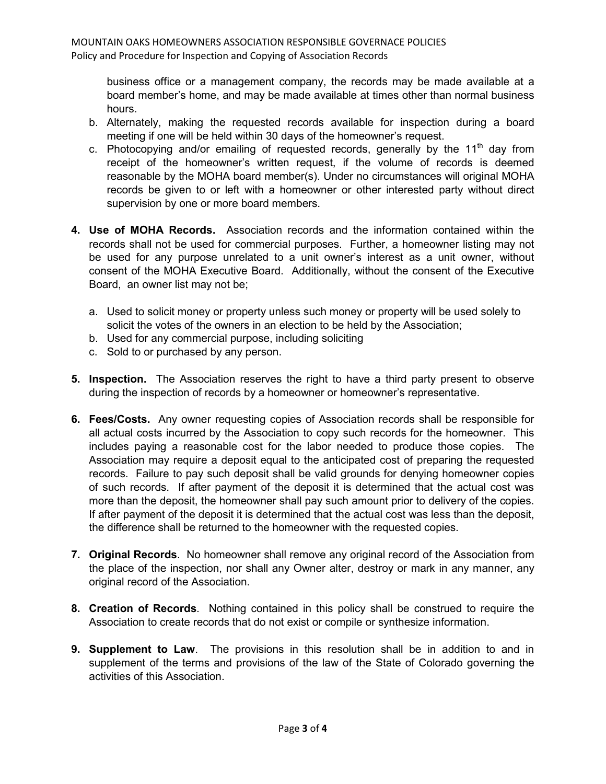business office or a management company, the records may be made available at a board member's home, and may be made available at times other than normal business hours.

- b. Alternately, making the requested records available for inspection during a board meeting if one will be held within 30 days of the homeowner's request.
- c. Photocopying and/or emailing of requested records, generally by the  $11<sup>th</sup>$  day from receipt of the homeowner's written request, if the volume of records is deemed reasonable by the MOHA board member(s). Under no circumstances will original MOHA records be given to or left with a homeowner or other interested party without direct supervision by one or more board members.
- **4. Use of MOHA Records.** Association records and the information contained within the records shall not be used for commercial purposes. Further, a homeowner listing may not be used for any purpose unrelated to a unit owner's interest as a unit owner, without consent of the MOHA Executive Board. Additionally, without the consent of the Executive Board, an owner list may not be;
	- a. Used to solicit money or property unless such money or property will be used solely to solicit the votes of the owners in an election to be held by the Association;
	- b. Used for any commercial purpose, including soliciting
	- c. Sold to or purchased by any person.
- **5. Inspection.** The Association reserves the right to have a third party present to observe during the inspection of records by a homeowner or homeowner's representative.
- **6. Fees/Costs.** Any owner requesting copies of Association records shall be responsible for all actual costs incurred by the Association to copy such records for the homeowner. This includes paying a reasonable cost for the labor needed to produce those copies. The Association may require a deposit equal to the anticipated cost of preparing the requested records. Failure to pay such deposit shall be valid grounds for denying homeowner copies of such records. If after payment of the deposit it is determined that the actual cost was more than the deposit, the homeowner shall pay such amount prior to delivery of the copies. If after payment of the deposit it is determined that the actual cost was less than the deposit, the difference shall be returned to the homeowner with the requested copies.
- **7. Original Records**. No homeowner shall remove any original record of the Association from the place of the inspection, nor shall any Owner alter, destroy or mark in any manner, any original record of the Association.
- **8. Creation of Records**. Nothing contained in this policy shall be construed to require the Association to create records that do not exist or compile or synthesize information.
- **9. Supplement to Law**. The provisions in this resolution shall be in addition to and in supplement of the terms and provisions of the law of the State of Colorado governing the activities of this Association.